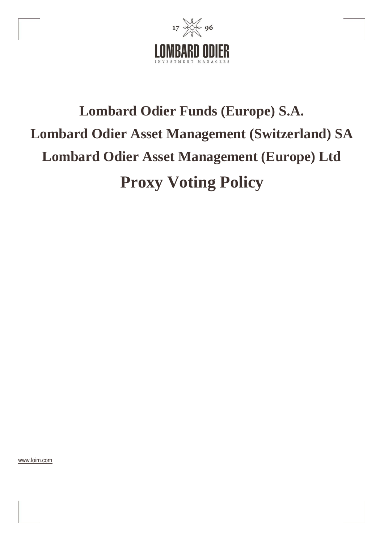

# **Lombard Odier Funds (Europe) S.A. Lombard Odier Asset Management (Switzerland) SA Lombard Odier Asset Management (Europe) Ltd Proxy Voting Policy**

[www.loim.com](http://www.loim.com/)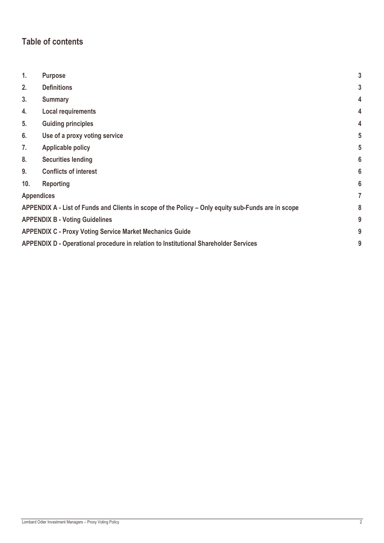# **Table of contents**

| 1.                                                                                                 | <b>Purpose</b>                                                                            | 3 |  |  |
|----------------------------------------------------------------------------------------------------|-------------------------------------------------------------------------------------------|---|--|--|
| 2.                                                                                                 | <b>Definitions</b>                                                                        | 3 |  |  |
| 3.                                                                                                 | <b>Summary</b>                                                                            | 4 |  |  |
| 4.                                                                                                 | <b>Local requirements</b>                                                                 | 4 |  |  |
| 5.                                                                                                 | <b>Guiding principles</b>                                                                 | 4 |  |  |
| 6.                                                                                                 | Use of a proxy voting service                                                             | 5 |  |  |
| 7.                                                                                                 | <b>Applicable policy</b>                                                                  | 5 |  |  |
| 8.                                                                                                 | <b>Securities lending</b>                                                                 | 6 |  |  |
| 9.                                                                                                 | <b>Conflicts of interest</b>                                                              | 6 |  |  |
| 10.                                                                                                | <b>Reporting</b>                                                                          | 6 |  |  |
| <b>Appendices</b>                                                                                  |                                                                                           |   |  |  |
| APPENDIX A - List of Funds and Clients in scope of the Policy – Only equity sub-Funds are in scope |                                                                                           | 8 |  |  |
| <b>APPENDIX B - Voting Guidelines</b>                                                              |                                                                                           |   |  |  |
|                                                                                                    | <b>APPENDIX C - Proxy Voting Service Market Mechanics Guide</b>                           |   |  |  |
|                                                                                                    | APPENDIX D - Operational procedure in relation to Institutional Shareholder Services<br>9 |   |  |  |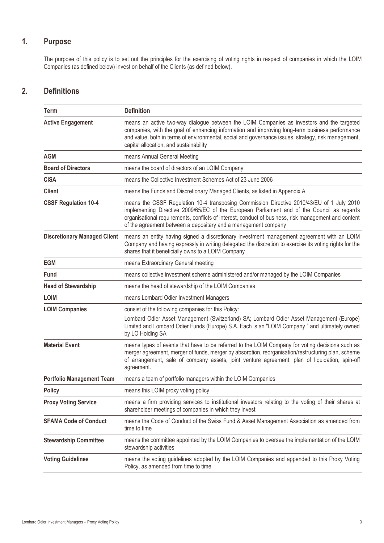## **1. Purpose**

The purpose of this policy is to set out the principles for the exercising of voting rights in respect of companies in which the LOIM Companies (as defined below) invest on behalf of the Clients (as defined below).

## **2. Definitions**

| Term                                | <b>Definition</b>                                                                                                                                                                                                                                                                                                                                                 |  |
|-------------------------------------|-------------------------------------------------------------------------------------------------------------------------------------------------------------------------------------------------------------------------------------------------------------------------------------------------------------------------------------------------------------------|--|
| <b>Active Engagement</b>            | means an active two-way dialogue between the LOIM Companies as investors and the targeted<br>companies, with the goal of enhancing information and improving long-term business performance<br>and value, both in terms of environmental, social and governance issues, strategy, risk management,<br>capital allocation, and sustainability                      |  |
| <b>AGM</b>                          | means Annual General Meeting                                                                                                                                                                                                                                                                                                                                      |  |
| <b>Board of Directors</b>           | means the board of directors of an LOIM Company                                                                                                                                                                                                                                                                                                                   |  |
| <b>CISA</b>                         | means the Collective Investment Schemes Act of 23 June 2006                                                                                                                                                                                                                                                                                                       |  |
| <b>Client</b>                       | means the Funds and Discretionary Managed Clients, as listed in Appendix A                                                                                                                                                                                                                                                                                        |  |
| <b>CSSF Regulation 10-4</b>         | means the CSSF Regulation 10-4 transposing Commission Directive 2010/43/EU of 1 July 2010<br>implementing Directive 2009/65/EC of the European Parliament and of the Council as regards<br>organisational requirements, conflicts of interest, conduct of business, risk management and content<br>of the agreement between a depositary and a management company |  |
| <b>Discretionary Managed Client</b> | means an entity having signed a discretionary investment management agreement with an LOIM<br>Company and having expressly in writing delegated the discretion to exercise its voting rights for the<br>shares that it beneficially owns to a LOIM Company                                                                                                        |  |
| <b>EGM</b>                          | means Extraordinary General meeting                                                                                                                                                                                                                                                                                                                               |  |
| <b>Fund</b>                         | means collective investment scheme administered and/or managed by the LOIM Companies                                                                                                                                                                                                                                                                              |  |
| <b>Head of Stewardship</b>          | means the head of stewardship of the LOIM Companies                                                                                                                                                                                                                                                                                                               |  |
| <b>LOIM</b>                         | means Lombard Odier Investment Managers                                                                                                                                                                                                                                                                                                                           |  |
| <b>LOIM Companies</b>               | consist of the following companies for this Policy:<br>Lombard Odier Asset Management (Switzerland) SA; Lombard Odier Asset Management (Europe)<br>Limited and Lombard Odier Funds (Europe) S.A. Each is an "LOIM Company" and ultimately owned<br>by LO Holding SA                                                                                               |  |
| <b>Material Event</b>               | means types of events that have to be referred to the LOIM Company for voting decisions such as<br>merger agreement, merger of funds, merger by absorption, reorganisation/restructuring plan, scheme<br>of arrangement, sale of company assets, joint venture agreement, plan of liquidation, spin-off<br>agreement.                                             |  |
| <b>Portfolio Management Team</b>    | means a team of portfolio managers within the LOIM Companies                                                                                                                                                                                                                                                                                                      |  |
| <b>Policy</b>                       | means this LOIM proxy voting policy                                                                                                                                                                                                                                                                                                                               |  |
| <b>Proxy Voting Service</b>         | means a firm providing services to institutional investors relating to the voting of their shares at<br>shareholder meetings of companies in which they invest                                                                                                                                                                                                    |  |
| <b>SFAMA Code of Conduct</b>        | means the Code of Conduct of the Swiss Fund & Asset Management Association as amended from<br>time to time                                                                                                                                                                                                                                                        |  |
| <b>Stewardship Committee</b>        | means the committee appointed by the LOIM Companies to oversee the implementation of the LOIM<br>stewardship activities                                                                                                                                                                                                                                           |  |
| <b>Voting Guidelines</b>            | means the voting guidelines adopted by the LOIM Companies and appended to this Proxy Voting<br>Policy, as amended from time to time                                                                                                                                                                                                                               |  |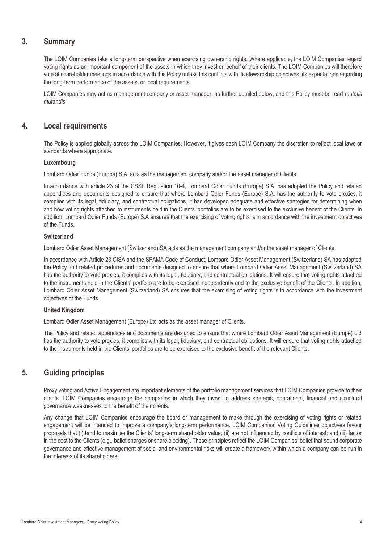## **3. Summary**

The LOIM Companies take a long-term perspective when exercising ownership rights. Where applicable, the LOIM Companies regard voting rights as an important component of the assets in which they invest on behalf of their clients. The LOIM Companies will therefore vote at shareholder meetings in accordance with this Policy unless this conflicts with its stewardship objectives, its expectations regarding the long-term performance of the assets, or local requirements.

LOIM Companies may act as management company or asset manager, as further detailed below, and this Policy must be read *mutatis mutandis.*

## **4. Local requirements**

The Policy is applied globally across the LOIM Companies. However, it gives each LOIM Company the discretion to reflect local laws or standards where appropriate.

#### **Luxembourg**

Lombard Odier Funds (Europe) S.A. acts as the management company and/or the asset manager of Clients.

In accordance with article 23 of the CSSF Regulation 10-4, Lombard Odier Funds (Europe) S.A. has adopted the Policy and related appendices and documents designed to ensure that where Lombard Odier Funds (Europe) S.A. has the authority to vote proxies, it complies with its legal, fiduciary, and contractual obligations. It has developed adequate and effective strategies for determining when and how voting rights attached to instruments held in the Clients' portfolios are to be exercised to the exclusive benefit of the Clients. In addition, Lombard Odier Funds (Europe) S.A ensures that the exercising of voting rights is in accordance with the investment objectives of the Funds.

#### **Switzerland**

Lombard Odier Asset Management (Switzerland) SA acts as the management company and/or the asset manager of Clients.

In accordance with Article 23 CISA and the SFAMA Code of Conduct, Lombard Odier Asset Management (Switzerland) SA has adopted the Policy and related procedures and documents designed to ensure that where Lombard Odier Asset Management (Switzerland) SA has the authority to vote proxies, it complies with its legal, fiduciary, and contractual obligations. It will ensure that voting rights attached to the instruments held in the Clients' portfolio are to be exercised independently and to the exclusive benefit of the Clients. In addition, Lombard Odier Asset Management (Switzerland) SA ensures that the exercising of voting rights is in accordance with the investment objectives of the Funds.

#### **United Kingdom**

Lombard Odier Asset Management (Europe) Ltd acts as the asset manager of Clients.

The Policy and related appendices and documents are designed to ensure that where Lombard Odier Asset Management (Europe) Ltd has the authority to vote proxies, it complies with its legal, fiduciary, and contractual obligations. It will ensure that voting rights attached to the instruments held in the Clients' portfolios are to be exercised to the exclusive benefit of the relevant Clients.

## **5. Guiding principles**

Proxy voting and Active Engagement are important elements of the portfolio management services that LOIM Companies provide to their clients. LOIM Companies encourage the companies in which they invest to address strategic, operational, financial and structural governance weaknesses to the benefit of their clients.

Any change that LOIM Companies encourage the board or management to make through the exercising of voting rights or related engagement will be intended to improve a company's long-term performance. LOIM Companies' Voting Guidelines objectives favour proposals that (i) tend to maximise the Clients' long-term shareholder value; (ii) are not influenced by conflicts of interest; and (iii) factor in the cost to the Clients (e.g., ballot charges or share blocking). These principles reflect the LOIM Companies' belief that sound corporate governance and effective management of social and environmental risks will create a framework within which a company can be run in the interests of its shareholders.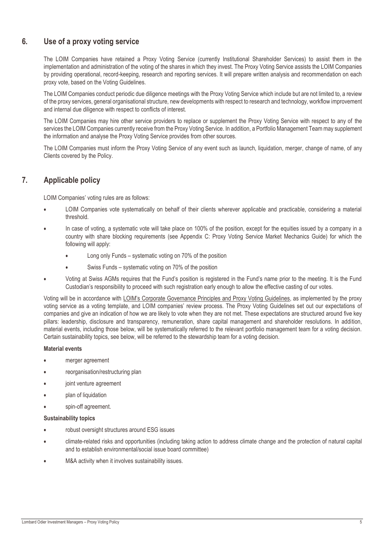## **6. Use of a proxy voting service**

The LOIM Companies have retained a Proxy Voting Service (currently Institutional Shareholder Services) to assist them in the implementation and administration of the voting of the shares in which they invest. The Proxy Voting Service assists the LOIM Companies by providing operational, record-keeping, research and reporting services. It will prepare written analysis and recommendation on each proxy vote, based on the Voting Guidelines.

The LOIM Companies conduct periodic due diligence meetings with the Proxy Voting Service which include but are not limited to, a review of the proxy services, general organisational structure, new developments with respect to research and technology, workflow improvement and internal due diligence with respect to conflicts of interest.

The LOIM Companies may hire other service providers to replace or supplement the Proxy Voting Service with respect to any of the services the LOIM Companies currently receive from the Proxy Voting Service. In addition, a Portfolio Management Team may supplement the information and analyse the Proxy Voting Service provides from other sources.

The LOIM Companies must inform the Proxy Voting Service of any event such as launch, liquidation, merger, change of name, of any Clients covered by the Policy.

## **7. Applicable policy**

LOIM Companies' voting rules are as follows:

- LOIM Companies vote systematically on behalf of their clients wherever applicable and practicable, considering a material threshold.
- In case of voting, a systematic vote will take place on 100% of the position, except for the equities issued by a company in a country with share blocking requirements (see Appendix C: Proxy Voting Service Market Mechanics Guide) for which the following will apply:
	- Long only Funds systematic voting on 70% of the position
	- Swiss Funds systematic voting on 70% of the position
- Voting at Swiss AGMs requires that the Fund's position is registered in the Fund's name prior to the meeting. It is the Fund Custodian's responsibility to proceed with such registration early enough to allow the effective casting of our votes.

Voting will be in accordance with LOIM's Corporate Governance Principles [and Proxy Voting Guidelines,](https://am.lombardodier.com/home/sustainability/our-sustainable-investment-frame/stewardship.html) as implemented by the proxy voting service as a voting template, and LOIM companies' review process. The Proxy Voting Guidelines set out our expectations of companies and give an indication of how we are likely to vote when they are not met. These expectations are structured around five key pillars: leadership, disclosure and transparency, remuneration, share capital management and shareholder resolutions. In addition, material events, including those below, will be systematically referred to the relevant portfolio management team for a voting decision. Certain sustainability topics, see below, will be referred to the stewardship team for a voting decision.

#### **Material events**

- merger agreement
- reorganisation/restructuring plan
- joint venture agreement
- plan of liquidation
- spin-off agreement.

#### **Sustainability topics**

- robust oversight structures around ESG issues
- climate-related risks and opportunities (including taking action to address climate change and the protection of natural capital and to establish environmental/social issue board committee)
- M&A activity when it involves sustainability issues.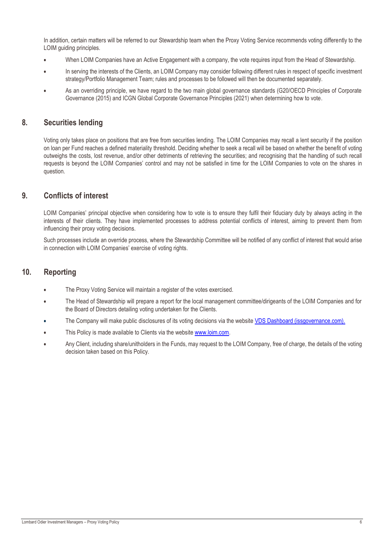In addition, certain matters will be referred to our Stewardship team when the Proxy Voting Service recommends voting differently to the LOIM guiding principles.

- When LOIM Companies have an Active Engagement with a company, the vote requires input from the Head of Stewardship.
- In serving the interests of the Clients, an LOIM Company may consider following different rules in respect of specific investment strategy/Portfolio Management Team; rules and processes to be followed will then be documented separately.
- As an overriding principle, we have regard to the two main global governance standards (G20/OECD Principles of Corporate Governance (2015) and ICGN Global Corporate Governance Principles (2021) when determining how to vote.

#### **8. Securities lending**

Voting only takes place on positions that are free from securities lending. The LOIM Companies may recall a lent security if the position on loan per Fund reaches a defined materiality threshold. Deciding whether to seek a recall will be based on whether the benefit of voting outweighs the costs, lost revenue, and/or other detriments of retrieving the securities; and recognising that the handling of such recall requests is beyond the LOIM Companies' control and may not be satisfied in time for the LOIM Companies to vote on the shares in question.

## **9. Conflicts of interest**

LOIM Companies' principal objective when considering how to vote is to ensure they fulfil their fiduciary duty by always acting in the interests of their clients. They have implemented processes to address potential conflicts of interest, aiming to prevent them from influencing their proxy voting decisions.

Such processes include an override process, where the Stewardship Committee will be notified of any conflict of interest that would arise in connection with LOIM Companies' exercise of voting rights.

## **10. Reporting**

- The Proxy Voting Service will maintain a register of the votes exercised.
- The Head of Stewardship will prepare a report for the local management committee/dirigeants of the LOIM Companies and for the Board of Directors detailing voting undertaken for the Clients.
- The Company will make public disclosures of its voting decisions via the website [VDS Dashboard \(issgovernance.com\).](https://vds.issgovernance.com/vds/#/NDc1Ng==/)
- This Policy is made available to Clients via the website [www.loim.com.](http://www.loim.com/)
- Any Client, including share/unitholders in the Funds, may request to the LOIM Company, free of charge, the details of the voting decision taken based on this Policy.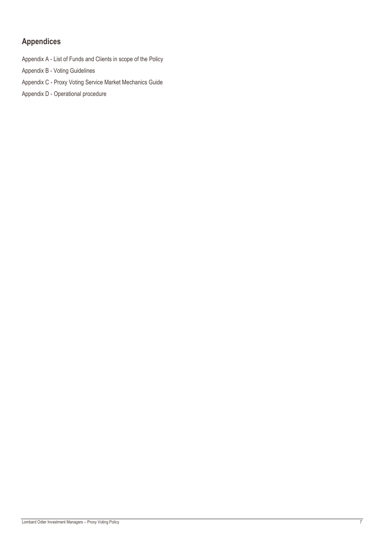# **Appendices**

Appendix A - List of Funds and Clients in scope of the Policy

Appendix B - Voting Guidelines

Appendix C - Proxy Voting Service Market Mechanics Guide

Appendix D - Operational procedure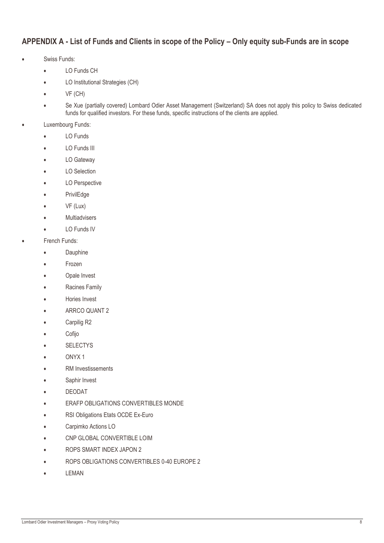## **APPENDIX A - List of Funds and Clients in scope of the Policy – Only equity sub-Funds are in scope**

- Swiss Funds:
	- LO Funds CH
	- LO Institutional Strategies (CH)
	- VF (CH)
	- Se Xue (partially covered) Lombard Odier Asset Management (Switzerland) SA does not apply this policy to Swiss dedicated funds for qualified investors. For these funds, specific instructions of the clients are applied.
- Luxembourg Funds:
	- LO Funds
	- LO Funds III
	- LO Gateway
	- LO Selection
	- LO Perspective
	- **PrivilEdge**
	- VF (Lux)
	- **Multiadvisers**
	- LO Funds IV
- **French Funds:** 
	- Dauphine
	- Frozen
	- Opale Invest
	- Racines Family
	- Hories Invest
	- ARRCO QUANT 2
	- Carpilig R2
	- Cofijo
	- **SELECTYS**
	- ONYX 1
	- RM Investissements
	- Saphir Invest
	- DEODAT
	- **ERAFP OBLIGATIONS CONVERTIBLES MONDE**
	- RSI Obligations Etats OCDE Ex-Euro
	- Carpimko Actions LO
	- CNP GLOBAL CONVERTIBLE LOIM
	- ROPS SMART INDEX JAPON 2
	- ROPS OBLIGATIONS CONVERTIBLES 0-40 EUROPE 2
	- LEMAN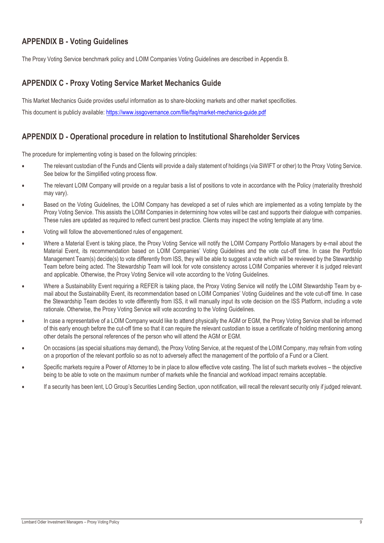## **APPENDIX B - Voting Guidelines**

The Proxy Voting Service benchmark policy and LOIM Companies Voting Guidelines are described in Appendix B.

## **APPENDIX C - Proxy Voting Service Market Mechanics Guide**

This Market Mechanics Guide provides useful information as to share-blocking markets and other market specificities. This document is publicly available:<https://www.issgovernance.com/file/faq/market-mechanics-guide.pdf>

## **APPENDIX D - Operational procedure in relation to Institutional Shareholder Services**

The procedure for implementing voting is based on the following principles:

- The relevant custodian of the Funds and Clients will provide a daily statement of holdings (via SWIFT or other) to the Proxy Voting Service. See below for the Simplified voting process flow.
- The relevant LOIM Company will provide on a regular basis a list of positions to vote in accordance with the Policy (materiality threshold may vary).
- Based on the Voting Guidelines, the LOIM Company has developed a set of rules which are implemented as a voting template by the Proxy Voting Service. This assists the LOIM Companies in determining how votes will be cast and supports their dialogue with companies. These rules are updated as required to reflect current best practice. Clients may inspect the voting template at any time.
- Voting will follow the abovementioned rules of engagement.
- Where a Material Event is taking place, the Proxy Voting Service will notify the LOIM Company Portfolio Managers by e-mail about the Material Event, its recommendation based on LOIM Companies' Voting Guidelines and the vote cut-off time. In case the Portfolio Management Team(s) decide(s) to vote differently from ISS, they will be able to suggest a vote which will be reviewed by the Stewardship Team before being acted. The Stewardship Team will look for vote consistency across LOIM Companies wherever it is judged relevant and applicable. Otherwise, the Proxy Voting Service will vote according to the Voting Guidelines.
- Where a Sustainability Event requiring a REFER is taking place, the Proxy Voting Service will notify the LOIM Stewardship Team by email about the Sustainability Event, its recommendation based on LOIM Companies' Voting Guidelines and the vote cut-off time. In case the Stewardship Team decides to vote differently from ISS, it will manually input its vote decision on the ISS Platform, including a vote rationale. Otherwise, the Proxy Voting Service will vote according to the Voting Guidelines.
- In case a representative of a LOIM Company would like to attend physically the AGM or EGM, the Proxy Voting Service shall be informed of this early enough before the cut-off time so that it can require the relevant custodian to issue a certificate of holding mentioning among other details the personal references of the person who will attend the AGM or EGM.
- On occasions (as special situations may demand), the Proxy Voting Service, at the request of the LOIM Company, may refrain from voting on a proportion of the relevant portfolio so as not to adversely affect the management of the portfolio of a Fund or a Client.
- Specific markets require a Power of Attorney to be in place to allow effective vote casting. The list of such markets evolves the objective being to be able to vote on the maximum number of markets while the financial and workload impact remains acceptable.
- If a security has been lent, LO Group's Securities Lending Section, upon notification, will recall the relevant security only if judged relevant.